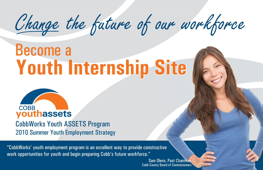Change the future of our workforce

## **Youth Internship Site <sup>o</sup> uth Internsh ip S i**ite  $\blacksquare$ Become a



CobbWorks Youth ASSETS Program 2010 Summer Youth Employment Strategy

"CobbWorks' youth employment program is an excellent way to provide constructive work opportunities for youth and begin preparing Cobb's future workforce."

> Cobb County Board of Commissioners Sam Olens, Past Chairman